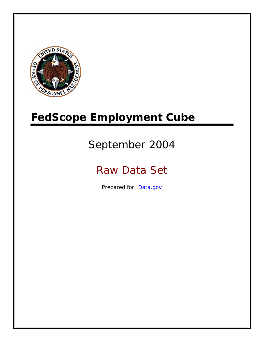

# **FedScope Employment Cube**

# September 2004

# Raw Data Set

Prepared for: [Data.gov](http://www.data.gov/)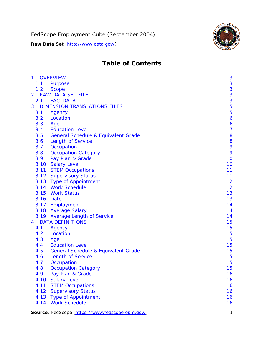

# **Table of Contents**

| $\mathbf{1}$ | <b>OVERVIEW</b>                                | 3              |
|--------------|------------------------------------------------|----------------|
| 1.1          | Purpose                                        | 3              |
| 1.2          | <b>Scope</b>                                   | 3              |
| 2            | <b>RAW DATA SET FILE</b>                       | 3              |
| 2.1          | <b>FACTDATA</b>                                | 3              |
| 3            | <b>DIMENSION TRANSLATIONS FILES</b>            | 5              |
| 3.1          | Agency                                         | 5              |
| 3.2          | Location                                       | 6              |
| 3.3          | Age                                            | 6              |
| 3.4          | <b>Education Level</b>                         | $\overline{7}$ |
| 3.5          | <b>General Schedule &amp; Equivalent Grade</b> | 8              |
| 3.6          | <b>Length of Service</b>                       | 8              |
| 3.7          | Occupation                                     | 9              |
| 3.8          | <b>Occupation Category</b>                     | 9              |
| 3.9          | Pay Plan & Grade                               | 10             |
| 3.10         | <b>Salary Level</b>                            | 10             |
|              | 3.11 STEM Occupations                          | 11             |
|              | 3.12 Supervisory Status                        | 11             |
|              | 3.13 Type of Appointment                       | 12             |
|              | 3.14 Work Schedule                             | 12             |
| 3.15         | <b>Work Status</b>                             | 13             |
|              | 3.16 Date                                      | 13             |
|              | 3.17 Employment                                | 14             |
|              | 3.18 Average Salary                            | 14             |
|              | 3.19 Average Length of Service                 | 14             |
| 4            | <b>DATA DEFINITIONS</b>                        | 15             |
| 4.1          | Agency                                         | 15             |
| 4.2          | Location                                       | 15             |
| 4.3          | Age                                            | 15             |
| 4.4          | <b>Education Level</b>                         | 15             |
| 4.5          | <b>General Schedule &amp; Equivalent Grade</b> | 15             |
| 4.6          | <b>Length of Service</b>                       | 15             |
| 4.7          | Occupation                                     | 15             |
| 4.8          | <b>Occupation Category</b>                     | 15             |
| 4.9          | Pay Plan & Grade                               | 16             |
| 4.10         | <b>Salary Level</b>                            | 16             |
| 4.11         | <b>STEM Occupations</b>                        | 16             |
| 4.12         | <b>Supervisory Status</b>                      | 16             |
| 4.13         | <b>Type of Appointment</b>                     | 16             |
| 4.14         | <b>Work Schedule</b>                           | 16             |

**Source**: FedScope (https://www.fedscope.opm.gov/) 1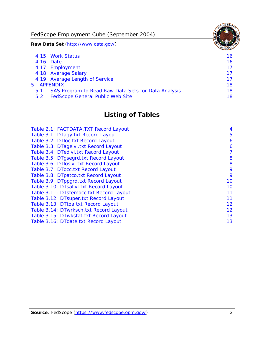FedScope Employment Cube (September 2004)

**Raw Data Set** (http://www.data.gov/)

|               | 4.15 Work Status                                    | 16 |
|---------------|-----------------------------------------------------|----|
|               | 4.16 Date                                           | 16 |
|               | 4.17 Employment                                     | 17 |
|               | 4.18 Average Salary                                 | 17 |
|               | 4.19 Average Length of Service                      | 17 |
|               | 5 APPENDIX                                          | 18 |
| 5.1           | SAS Program to Read Raw Data Sets for Data Analysis | 18 |
| $5.2^{\circ}$ | <b>FedScope General Public Web Site</b>             | 18 |

# **Listing of Tables**

| Table 2.1: FACTDATA.TXT Record Layout   | 4  |
|-----------------------------------------|----|
| Table 3.1: DTagy.txt Record Layout      | 5  |
| Table 3.2: DTloc.txt Record Layout      | 6  |
| Table 3.3: DTagelvl.txt Record Layout   | 6  |
| Table 3.4: DTedlvl.txt Record Layout    | 7  |
| Table 3.5: DTgsegrd.txt Record Layout   | 8  |
| Table 3.6: DTIoslyl.txt Record Layout   | 8  |
| Table 3.7: DTocc.txt Record Layout      | 9  |
| Table 3.8: DTpatco.txt Record Layout    | 9  |
| Table 3.9: DTppgrd.txt Record Layout    | 10 |
| Table 3.10: DTsallvl.txt Record Layout  | 10 |
| Table 3.11: DTstemocc.txt Record Layout | 11 |
| Table 3.12: DTsuper.txt Record Layout   | 11 |
| Table 3.13: DTtoa.txt Record Layout     | 12 |
| Table 3.14: DTwrksch.txt Record Layout  | 12 |
| Table 3.15: DTwkstat.txt Record Layout  | 13 |
| Table 3.16: DTdate.txt Record Layout    | 13 |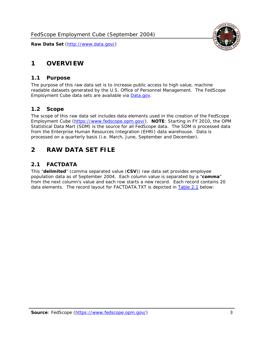# <span id="page-3-0"></span>**1 OVERVIEW**

#### *1.1 Purpose*

<span id="page-3-1"></span>The purpose of this raw data set is to increase public access to high value, machine readable datasets generated by the U.S. Office of Personnel Management. The FedScope Employment Cube data sets are available via [Data.gov](http://www.data.gov/).

## <span id="page-3-2"></span>*1.2 Scope*

The scope of this raw data set includes data elements used in the creation of the FedScope Employment Cube [\(https://www.fedscope.opm.gov/\)](https://www.fedscope.opm.gov/). **NOTE**: Starting in FY 2010, the OPM Statistical Data Mart (SDM) is the source for all FedScope data. The SDM is processed data from the Enterprise Human Resources Integration (EHRI) data warehouse. Data is processed on a quarterly basis (i.e. March, June, September and December).

# <span id="page-3-3"></span>**2 RAW DATA SET FILE**

## <span id="page-3-4"></span>*2.1 FACTDATA*

This "**delimited**" (comma separated value (**CSV**)) raw data set provides employee population data as of September 2004. Each column value is separated by a "**comma**" from the next column's value and each row starts a new record. Each record contains 20 data elements. The record layout for FACTDATA.TXT is depicted in [Table 2.1](#page-4-1) below:

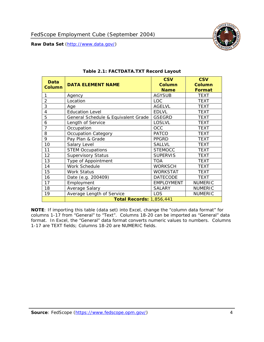<span id="page-4-1"></span><span id="page-4-0"></span>

**NOTE**: If importing this table (data set) into Excel, change the "column data format" for columns 1-17 from "General" to "Text". Columns 18-20 can be imported as "General" data format. In Excel, the "General" data format converts numeric values to numbers. Columns 1-17 are TEXT fields; Columns 18-20 are NUMERIC fields.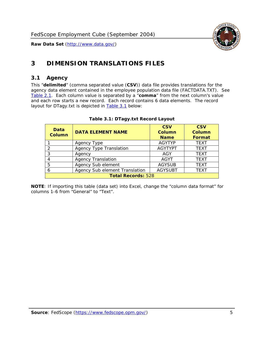

# <span id="page-5-0"></span>**3 DIMENSION TRANSLATIONS FILES**

#### <span id="page-5-1"></span>*3.1 Agency*

<span id="page-5-3"></span><span id="page-5-2"></span>This "**delimited**" (comma separated value (**CSV**)) data file provides translations for the agency data element contained in the employee population data file (FACTDATA.TXT). See [Table 2.1.](#page-4-1) Each column value is separated by a "**comma**" from the next column's value and each row starts a new record. Each record contains 6 data elements. The record layout for DTagy.txt is depicted in [Table 3.1](#page-5-3) below:

| Data<br><b>Column</b>     | <b>DATA ELEMENT NAME</b>       | <b>CSV</b><br><b>Column</b><br><b>Name</b> | <b>CSV</b><br>Column<br><b>Format</b> |  |
|---------------------------|--------------------------------|--------------------------------------------|---------------------------------------|--|
|                           | Agency Type                    | <b>AGYTYP</b>                              | <b>TEXT</b>                           |  |
| 2                         | <b>Agency Type Translation</b> | <b>AGYTYPT</b>                             | <b>TEXT</b>                           |  |
| 3                         | Agency                         | AGY                                        | <b>TEXT</b>                           |  |
| 4                         | <b>Agency Translation</b>      | <b>AGYT</b>                                | <b>TEXT</b>                           |  |
| 5                         | Agency Sub element             | <b>AGYSUB</b>                              | <b>TEXT</b>                           |  |
| 6                         | Agency Sub element Translation | <b>AGYSUBT</b>                             | <b>TEXT</b>                           |  |
| <b>Total Records: 528</b> |                                |                                            |                                       |  |

#### **Table 3.1: DTagy.txt Record Layout**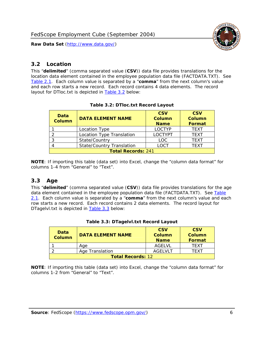

#### <span id="page-6-0"></span>*3.2 Location*

<span id="page-6-4"></span><span id="page-6-2"></span>This "**delimited**" (comma separated value (**CSV**)) data file provides translations for the location data element contained in the employee population data file (FACTDATA.TXT). See [Table 2.1.](#page-4-1) Each column value is separated by a "**comma**" from the next column's value and each row starts a new record. Each record contains 4 data elements. The record layout for DTloc.txt is depicted in [Table 3.2](#page-6-4) below:

| Data<br><b>Column</b>     | <b>DATA ELEMENT NAME</b>         | <b>CSV</b><br><b>Column</b><br><b>Name</b> | <b>CSV</b><br><b>Column</b><br><b>Format</b> |  |
|---------------------------|----------------------------------|--------------------------------------------|----------------------------------------------|--|
|                           | Location Type                    | LOCTYP                                     | <b>TEXT</b>                                  |  |
|                           | Location Type Translation        | <b>LOCTYPT</b>                             | <b>TEXT</b>                                  |  |
| ⌒                         | State/Country                    | LOC.                                       | <b>TEXT</b>                                  |  |
|                           | <b>State/Country Translation</b> | LOCT                                       | <b>TFXT</b>                                  |  |
| <b>Total Records: 241</b> |                                  |                                            |                                              |  |

#### **Table 3.2: DTloc.txt Record Layout**

**NOTE**: If importing this table (data set) into Excel, change the "column data format" for columns 1-4 from "General" to "Text".

#### <span id="page-6-1"></span>*3.3 Age*

<span id="page-6-5"></span><span id="page-6-3"></span>This "**delimited**" (comma separated value (**CSV**)) data file provides translations for the age data element contained in the employee population data file (FACTDATA.TXT). See [Table](#page-4-1) [2.1](#page-4-1). Each column value is separated by a "**comma**" from the next column's value and each row starts a new record. Each record contains 2 data elements. The record layout for DTagelvl.txt is depicted in [Table 3.3](#page-6-5) below:

| Data<br><b>Column</b>    | <b>DATA ELEMENT NAME</b> | <b>CSV</b><br>Column<br><b>Name</b> | <b>CSV</b><br>Column<br>Format |  |
|--------------------------|--------------------------|-------------------------------------|--------------------------------|--|
|                          | Aae                      | AGELVL                              | TFXT                           |  |
|                          | Age Translation          | AGFI VI T                           | TFXT                           |  |
| <b>Total Records: 12</b> |                          |                                     |                                |  |

|  |  | Table 3.3: DTagelvl.txt Record Layout |  |
|--|--|---------------------------------------|--|
|  |  |                                       |  |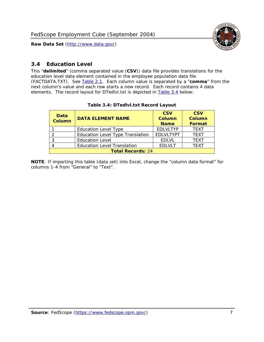

### <span id="page-7-0"></span>*3.4 Education Level*

<span id="page-7-2"></span><span id="page-7-1"></span>This "**delimited**" (comma separated value (**CSV**)) data file provides translations for the education level data element contained in the employee population data file (FACTDATA.TXT). See [Table 2.1](#page-4-1). Each column value is separated by a "**comma**" from the next column's value and each row starts a new record. Each record contains 4 data elements. The record layout for DTedlvl.txt is depicted in [Table 3.4](#page-7-2) below:

| Data<br><b>Column</b>    | <b>DATA ELEMENT NAME</b>           | <b>CSV</b><br><b>Column</b><br><b>Name</b> | <b>CSV</b><br><b>Column</b><br><b>Format</b> |  |  |
|--------------------------|------------------------------------|--------------------------------------------|----------------------------------------------|--|--|
|                          | <b>Education Level Type</b>        | <b>EDLVLTYP</b>                            | <b>TEXT</b>                                  |  |  |
|                          | Education Level Type Translation   | <b>EDLVLTYPT</b>                           | <b>TEXT</b>                                  |  |  |
|                          | <b>Education Level</b>             | <b>EDLVL</b>                               | <b>TEXT</b>                                  |  |  |
|                          | <b>Education Level Translation</b> | <b>EDLVLT</b>                              | <b>TEXT</b>                                  |  |  |
| <b>Total Records: 24</b> |                                    |                                            |                                              |  |  |

#### **Table 3.4: DTedlvl.txt Record Layout**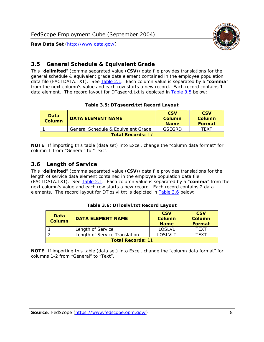

### <span id="page-8-0"></span>*3.5 General Schedule & Equivalent Grade*

This "**delimited**" (comma separated value (**CSV**)) data file provides translations for the general schedule & equivalent grade data element contained in the employee population data file (FACTDATA.TXT). See [Table 2.1](#page-4-1). Each column value is separated by a "**comma**" from the next column's value and each row starts a new record. Each record contains 1 data element. The record layout for DTgsegrd.txt is depicted in [Table 3.5](#page-8-4) below:

#### **Table 3.5: DTgsegrd.txt Record Layout**

<span id="page-8-4"></span><span id="page-8-2"></span>

| Data<br>Column | <b>DATA ELEMENT NAME</b>            |        | <b>CSV</b><br>Column<br>Format |  |  |  |
|----------------|-------------------------------------|--------|--------------------------------|--|--|--|
|                | General Schedule & Equivalent Grade | GSFGRD | <b>TFXT</b>                    |  |  |  |
|                | <b>Total Records: 17</b>            |        |                                |  |  |  |

**NOTE**: If importing this table (data set) into Excel, change the "column data format" for column 1-from "General" to "Text".

#### <span id="page-8-1"></span>*3.6 Length of Service*

<span id="page-8-5"></span><span id="page-8-3"></span>This "**delimited**" (comma separated value (**CSV**)) data file provides translations for the length of service data element contained in the employee population data file (FACTDATA.TXT). See [Table 2.1](#page-4-1). Each column value is separated by a "**comma**" from the next column's value and each row starts a new record. Each record contains 2 data elements. The record layout for DTloslvl.txt is depicted in [Table 3.6](#page-8-5) below:

| Data<br><b>Column</b>    | <b>DATA ELEMENT NAME</b>      | <b>CSV</b><br><b>Column</b><br><b>Name</b> | <b>CSV</b><br>Column<br>Format |  |  |
|--------------------------|-------------------------------|--------------------------------------------|--------------------------------|--|--|
|                          | Length of Service             | LOSLVL                                     | TFXT                           |  |  |
|                          | Length of Service Translation | LOSI VLT                                   | TFXT                           |  |  |
| <b>Total Records: 11</b> |                               |                                            |                                |  |  |

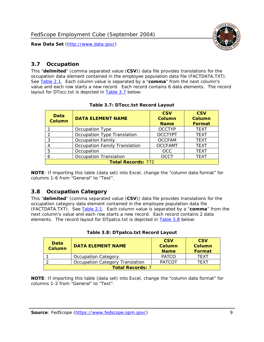

#### <span id="page-9-0"></span>*3.7 Occupation*

<span id="page-9-4"></span>This "**delimited**" (comma separated value (**CSV**)) data file provides translations for the occupation data element contained in the employee population data file (FACTDATA.TXT). See [Table 2.1](#page-4-1). Each column value is separated by a "**comma**" from the next column's value and each row starts a new record. Each record contains 6 data elements. The record layout for DTocc.txt is depicted in [Table 3.7](#page-9-4) below:

<span id="page-9-2"></span>

| Data<br><b>Column</b>     | <b>DATA ELEMENT NAME</b>             | <b>CSV</b><br>Column<br><b>Name</b> | <b>CSV</b><br><b>Column</b><br><b>Format</b> |  |  |
|---------------------------|--------------------------------------|-------------------------------------|----------------------------------------------|--|--|
|                           | Occupation Type                      | <b>OCCTYP</b>                       | <b>TEXT</b>                                  |  |  |
|                           | Occupation Type Translation          | <b>OCCTYPT</b>                      | <b>TEXT</b>                                  |  |  |
| 2                         | <b>Occupation Family</b>             | <b>OCCFAM</b>                       | <b>TEXT</b>                                  |  |  |
|                           | <b>Occupation Family Translation</b> | <b>OCCFAMT</b>                      | <b>TEXT</b>                                  |  |  |
| 5                         | Occupation                           | <b>OCC</b>                          | <b>TEXT</b>                                  |  |  |
|                           | <b>Occupation Translation</b>        | <b>OCCT</b>                         | <b>TEXT</b>                                  |  |  |
| <b>Total Records: 772</b> |                                      |                                     |                                              |  |  |

#### **Table 3.7: DTocc.txt Record Layout**

**NOTE**: If importing this table (data set) into Excel, change the "column data format" for columns 1-6 from "General" to "Text".

#### <span id="page-9-1"></span>*3.8 Occupation Category*

<span id="page-9-5"></span>This "**delimited**" (comma separated value (**CSV**)) data file provides translations for the occupation category data element contained in the employee population data file (FACTDATA.TXT). See [Table 2.1](#page-4-1). Each column value is separated by a "**comma**" from the next column's value and each row starts a new record. Each record contains 2 data elements. The record layout for DTpatco.txt is depicted in [Table 3.8](#page-9-5) below:

<span id="page-9-3"></span>

| Data<br><b>Column</b>   | <b>DATA ELEMENT NAME</b>        | <b>CSV</b><br>Column<br><b>Name</b> | <b>CSV</b><br>Column<br>Format |  |
|-------------------------|---------------------------------|-------------------------------------|--------------------------------|--|
|                         | <b>Occupation Category</b>      | <b>PATCO</b>                        | <b>TFXT</b>                    |  |
|                         | Occupation Category Translation | <b>PATCOT</b>                       | TFXT                           |  |
| <b>Total Records: 7</b> |                                 |                                     |                                |  |

|  |  | Table 3.8: DTpatco.txt Record Layout |  |  |
|--|--|--------------------------------------|--|--|
|--|--|--------------------------------------|--|--|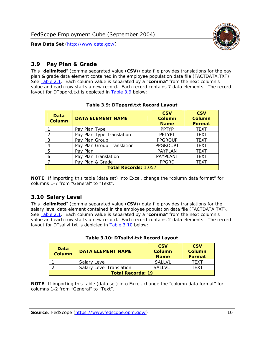

### <span id="page-10-0"></span>*3.9 Pay Plan & Grade*

<span id="page-10-4"></span>This "**delimited**" (comma separated value (**CSV**)) data file provides translations for the pay plan & grade data element contained in the employee population data file (FACTDATA.TXT). See [Table 2.1](#page-4-1). Each column value is separated by a "**comma**" from the next column's value and each row starts a new record. Each record contains 7 data elements. The record layout for DTppgrd.txt is depicted in **Table 3.9** below:

<span id="page-10-2"></span>

| Data<br><b>Column</b>       | <b>DATA ELEMENT NAME</b>   | <b>CSV</b><br>Column<br><b>Name</b> | <b>CSV</b><br>Column<br><b>Format</b> |  |
|-----------------------------|----------------------------|-------------------------------------|---------------------------------------|--|
|                             | Pay Plan Type              | <b>PPTYP</b>                        | <b>TEXT</b>                           |  |
| $\mathcal{P}$               | Pay Plan Type Translation  | <b>PPTYPT</b>                       | <b>TEXT</b>                           |  |
| 3                           | Pay Plan Group             | <b>PPGROUP</b>                      | <b>TEXT</b>                           |  |
|                             | Pay Plan Group Translation | <b>PPGROUPT</b>                     | <b>TEXT</b>                           |  |
| 5                           | Pay Plan                   | <b>PAYPLAN</b>                      | <b>TEXT</b>                           |  |
| 6                           | Pay Plan Translation       | PAYPLANT                            | <b>TEXT</b>                           |  |
|                             | Pay Plan & Grade           | <b>PPGRD</b>                        | <b>TEXT</b>                           |  |
| <b>Total Records: 1,057</b> |                            |                                     |                                       |  |

#### **Table 3.9: DTppgrd.txt Record Layout**

**NOTE**: If importing this table (data set) into Excel, change the "column data format" for columns 1-7 from "General" to "Text".

## <span id="page-10-1"></span>*3.10 Salary Level*

<span id="page-10-5"></span><span id="page-10-3"></span>This "**delimited**" (comma separated value (**CSV**)) data file provides translations for the salary level data element contained in the employee population data file (FACTDATA.TXT). See [Table 2.1](#page-4-1). Each column value is separated by a "**comma**" from the next column's value and each row starts a new record. Each record contains 2 data elements. The record layout for DTsallvl.txt is depicted in [Table 3.10](#page-10-5) below:

| <b>Data</b><br>Column    | <b>DATA ELEMENT NAME</b>        | <b>CSV</b><br>Column<br><b>Name</b> | <b>CSV</b><br>Column<br><b>Format</b> |
|--------------------------|---------------------------------|-------------------------------------|---------------------------------------|
|                          | Salary Level                    | <b>SALLVL</b>                       | TFXT                                  |
|                          | <b>Salary Level Translation</b> | SAI I VI T                          | TEXT                                  |
| <b>Total Records: 19</b> |                                 |                                     |                                       |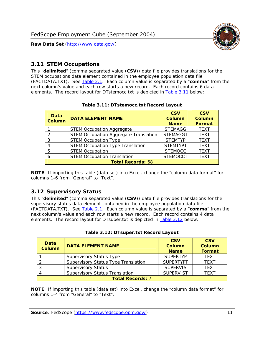

#### <span id="page-11-0"></span>*3.11 STEM Occupations*

<span id="page-11-4"></span>This "**delimited**" (comma separated value (**CSV**)) data file provides translations for the STEM occupations data element contained in the employee population data file (FACTDATA.TXT). See [Table 2.1](#page-4-1). Each column value is separated by a "**comma**" from the next column's value and each row starts a new record. Each record contains 6 data elements. The record layout for DTstemocc.txt is depicted in [Table 3.11](#page-11-4) below:

<span id="page-11-2"></span>

| <b>Data</b><br><b>Column</b> | <b>DATA ELEMENT NAME</b>                     | <b>CSV</b><br>Column<br><b>Name</b> | <b>CSV</b><br><b>Column</b><br><b>Format</b> |  |  |
|------------------------------|----------------------------------------------|-------------------------------------|----------------------------------------------|--|--|
|                              | <b>STEM Occupation Aggregate</b>             | <b>STEMAGG</b>                      | <b>TEXT</b>                                  |  |  |
|                              | <b>STEM Occupation Aggregate Translation</b> | <b>STEMAGGT</b>                     | <b>TEXT</b>                                  |  |  |
| 3                            | <b>STEM Occupation Type</b>                  | <b>STEMTYP</b>                      | <b>TEXT</b>                                  |  |  |
|                              | <b>STEM Occupation Type Translation</b>      | <b>STEMTYPT</b>                     | <b>TEXT</b>                                  |  |  |
| 5                            | <b>STEM Occupation</b>                       | <b>STEMOCC</b>                      | <b>TEXT</b>                                  |  |  |
|                              | <b>STEM Occupation Translation</b>           | <b>STEMOCCT</b>                     | <b>TEXT</b>                                  |  |  |
| <b>Total Records: 68</b>     |                                              |                                     |                                              |  |  |

#### **Table 3.11: DTstemocc.txt Record Layout**

**NOTE**: If importing this table (data set) into Excel, change the "column data format" for columns 1-6 from "General" to "Text".

# <span id="page-11-1"></span>*3.12 Supervisory Status*

This "**delimited**" (comma separated value (**CSV**)) data file provides translations for the supervisory status data element contained in the employee population data file (FACTDATA.TXT). See [Table 2.1](#page-4-1). Each column value is separated by a "**comma**" from the next column's value and each row starts a new record. Each record contains 4 data elements. The record layout for DTsuper.txt is depicted in [Table 3.12](#page-11-5) below:

<span id="page-11-5"></span><span id="page-11-3"></span>

| Data<br><b>Column</b>   | <b>DATA ELEMENT NAME</b>              | <b>CSV</b><br><b>Column</b><br><b>Name</b> | <b>CSV</b><br><b>Column</b><br><b>Format</b> |  |  |
|-------------------------|---------------------------------------|--------------------------------------------|----------------------------------------------|--|--|
|                         | <b>Supervisory Status Type</b>        | <b>SUPERTYP</b>                            | <b>TEXT</b>                                  |  |  |
|                         | Supervisory Status Type Translation   | <b>SUPERTYPT</b>                           | <b>TEXT</b>                                  |  |  |
|                         | <b>Supervisory Status</b>             | <b>SUPERVIS</b>                            | <b>TEXT</b>                                  |  |  |
|                         | <b>Supervisory Status Translation</b> | <b>SUPERVIST</b>                           | <b>TEXT</b>                                  |  |  |
| <b>Total Records: 7</b> |                                       |                                            |                                              |  |  |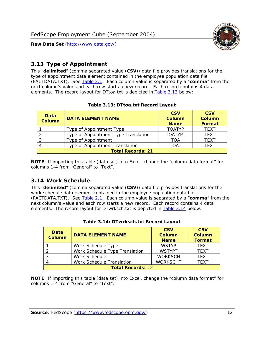

### <span id="page-12-0"></span>*3.13 Type of Appointment*

This "**delimited**" (comma separated value (**CSV**)) data file provides translations for the type of appointment data element contained in the employee population data file (FACTDATA.TXT). See [Table 2.1](#page-4-1). Each column value is separated by a "**comma**" from the next column's value and each row starts a new record. Each record contains 4 data elements. The record layout for DTtoa.txt is depicted in [Table 3.13](#page-12-4) below:

<span id="page-12-4"></span><span id="page-12-2"></span>

| Data<br><b>Column</b> | <b>DATA ELEMENT NAME</b>             | <b>CSV</b><br><b>Column</b><br><b>Name</b> | <b>CSV</b><br><b>Column</b><br><b>Format</b> |
|-----------------------|--------------------------------------|--------------------------------------------|----------------------------------------------|
|                       | Type of Appointment Type             | <b>TOATYP</b>                              | <b>TFXT</b>                                  |
|                       | Type of Appointment Type Translation | <b>TOATYPT</b>                             | <b>TEXT</b>                                  |
|                       | Type of Appointment                  | <b>TOA</b>                                 | <b>TEXT</b>                                  |
|                       | Type of Appointment Translation      | <b>TOAT</b>                                | <b>TFXT</b>                                  |
|                       | <b>Total Records: 21</b>             |                                            |                                              |

#### **Table 3.13: DTtoa.txt Record Layout**

**NOTE**: If importing this table (data set) into Excel, change the "column data format" for columns 1-4 from "General" to "Text".

#### <span id="page-12-1"></span>*3.14 Work Schedule*

<span id="page-12-5"></span>This "**delimited**" (comma separated value (**CSV**)) data file provides translations for the work schedule data element contained in the employee population data file (FACTDATA.TXT). See [Table 2.1](#page-4-1). Each column value is separated by a "**comma**" from the next column's value and each row starts a new record. Each record contains 4 data elements. The record layout for DTwrksch.txt is depicted in [Table 3.14](#page-12-5) below:

<span id="page-12-3"></span>

| Data<br><b>Column</b>    | <b>DATA ELEMENT NAME</b>       | <b>CSV</b><br>Column<br><b>Name</b> | <b>CSV</b><br><b>Column</b><br><b>Format</b> |  |
|--------------------------|--------------------------------|-------------------------------------|----------------------------------------------|--|
|                          | Work Schedule Type             | <b>WSTYP</b>                        | <b>TEXT</b>                                  |  |
|                          | Work Schedule Type Translation | <b>WSTYPT</b>                       | <b>TFXT</b>                                  |  |
| 3                        | Work Schedule                  | <b>WORKSCH</b>                      | <b>TFXT</b>                                  |  |
|                          | Work Schedule Translation      | <b>WORKSCHT</b>                     | <b>TFXT</b>                                  |  |
| <b>Total Records: 12</b> |                                |                                     |                                              |  |

|  | Table 3.14: DTwrksch.txt Record Layout |  |
|--|----------------------------------------|--|
|  |                                        |  |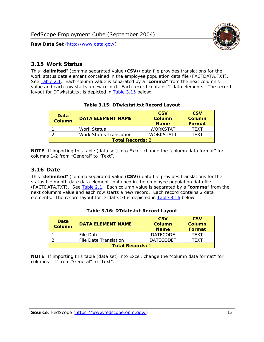

#### <span id="page-13-0"></span>*3.15 Work Status*

<span id="page-13-4"></span><span id="page-13-2"></span>This "**delimited**" (comma separated value (**CSV**)) data file provides translations for the work status data element contained in the employee population data file (FACTDATA.TXT). See [Table 2.1](#page-4-1). Each column value is separated by a "**comma**" from the next column's value and each row starts a new record. Each record contains 2 data elements. The record layout for DTwkstat.txt is depicted in [Table 3.15](#page-13-4) below:

| Data<br><b>Column</b>   | <b>DATA ELEMENT NAME</b>       | <b>CSV</b><br>Column<br><b>Name</b> | <b>CSV</b><br>Column<br><b>Format</b> |
|-------------------------|--------------------------------|-------------------------------------|---------------------------------------|
|                         | <b>Work Status</b>             | <b>WORKSTAT</b>                     | TFXT                                  |
|                         | <b>Work Status Translation</b> | <b>WORKSTATT</b>                    | TFXT                                  |
| <b>Total Records: 2</b> |                                |                                     |                                       |

#### **Table 3.15: DTwkstat.txt Record Layout**

**NOTE**: If importing this table (data set) into Excel, change the "column data format" for columns 1-2 from "General" to "Text".

#### <span id="page-13-1"></span>*3.16 Date*

<span id="page-13-5"></span><span id="page-13-3"></span>This "**delimited**" (comma separated value (**CSV**)) data file provides translations for the status file month date data element contained in the employee population data file (FACTDATA.TXT). See [Table 2.1](#page-4-1). Each column value is separated by a "**comma**" from the next column's value and each row starts a new record. Each record contains 2 data elements. The record layout for DTdate.txt is depicted in [Table 3.16](#page-13-5) below:

| Data<br><b>Column</b>   | <b>DATA ELEMENT NAME</b> | <b>CSV</b><br>Column<br><b>Name</b> | <b>CSV</b><br>Column<br><b>Format</b> |
|-------------------------|--------------------------|-------------------------------------|---------------------------------------|
|                         | File Date                | <b>DATECODE</b>                     | TFXT                                  |
|                         | File Date Translation    | <b>DATECODET</b>                    | TFXT                                  |
| <b>Total Records: 1</b> |                          |                                     |                                       |

**Table 3.16: DTdate.txt Record Layout**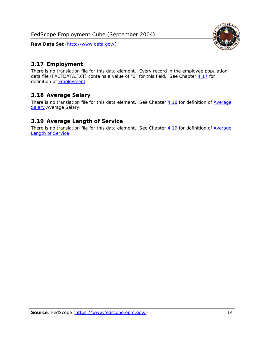

## <span id="page-14-0"></span>*3.17 Employment*

There is no translation file for this data element. Every record in the employee population data file (FACTDATA.TXT) contains a value of "1" for this field. See Chapter [4.17](#page-16-8) for definition of **Employment**.

## <span id="page-14-1"></span>*3.18 Average Salary*

There is no translation file for this data element. See Chapter [4.18](#page-17-1) for definition of [Average](#page-17-1) **[Salary](#page-17-1) [Average Salary.](#page-17-1)** 

#### <span id="page-14-2"></span>*3.19 Average Length of Service*

There is no translation file for this data element. See Chapter [4.19](#page-17-2) for definition of [Average](#page-17-2) Length of Service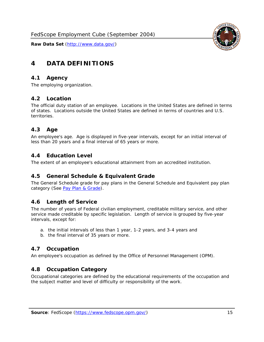

# <span id="page-15-0"></span>**4 DATA DEFINITIONS**

#### <span id="page-15-1"></span>*4.1 Agency*

The employing organization.

#### <span id="page-15-2"></span>*4.2 Location*

The official duty station of an employee. Locations in the United States are defined in terms of states. Locations outside the United States are defined in terms of countries and U.S. territories.

#### <span id="page-15-3"></span>*4.3 Age*

An employee's age. Age is displayed in five-year intervals, except for an initial interval of less than 20 years and a final interval of 65 years or more.

#### <span id="page-15-4"></span>*4.4 Education Level*

The extent of an employee's educational attainment from an accredited institution.

#### <span id="page-15-5"></span>*4.5 General Schedule & Equivalent Grade*

The General Schedule grade for pay plans in the General Schedule and Equivalent pay plan category (See [Pay Plan & Grade](#page-16-0)).

#### <span id="page-15-6"></span>*4.6 Length of Service*

The number of years of Federal civilian employment, creditable military service, and other service made creditable by specific legislation. Length of service is grouped by five-year intervals, except for:

- a. the initial intervals of less than 1 year, 1-2 years, and 3-4 years and
- b. the final interval of 35 years or more.

#### <span id="page-15-7"></span>*4.7 Occupation*

An employee's occupation as defined by the Office of Personnel Management (OPM).

#### <span id="page-15-8"></span>*4.8 Occupation Category*

Occupational categories are defined by the educational requirements of the occupation and the subject matter and level of difficulty or responsibility of the work.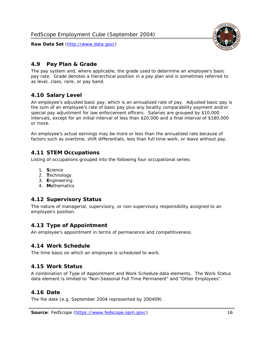<span id="page-16-0"></span>

The pay system and, where applicable, the grade used to determine an employee's basic pay rate. Grade denotes a hierarchical position in a pay plan and is sometimes referred to as level, class, rank, or pay band.

## <span id="page-16-1"></span>*4.10 Salary Level*

An employee's adjusted basic pay, which is an annualized rate of pay. Adjusted basic pay is the sum of an employee's rate of basic pay plus any locality comparability payment and/or special pay adjustment for law enforcement officers. Salaries are grouped by \$10,000 intervals, except for an initial interval of less than \$20,000 and a final interval of \$180,000 or more.

An employee's actual earnings may be more or less than the annualized rate because of factors such as overtime, shift differentials, less than full time work, or leave without pay.

## <span id="page-16-2"></span>*4.11 STEM Occupations*

Listing of occupations grouped into the following four occupational series:

- 1. **S**cience
- 2. **T**echnology
- 3. **E**ngineering
- 4. **M**athematics

#### <span id="page-16-3"></span>*4.12 Supervisory Status*

The nature of managerial, supervisory, or non-supervisory responsibility assigned to an employee's position.

#### <span id="page-16-4"></span>*4.13 Type of Appointment*

An employee's appointment in terms of permanence and competitiveness.

#### <span id="page-16-5"></span>*4.14 Work Schedule*

The time basis on which an employee is scheduled to work.

#### <span id="page-16-6"></span>*4.15 Work Status*

A combination of Type of Appointment and Work Schedule data elements. The Work Status data element is limited to "Non-Seasonal Full Time Permanent" and "Other Employees".

#### <span id="page-16-7"></span>*4.16 Date*

<span id="page-16-8"></span>The file date (e.g. September 2004 represented by 200409).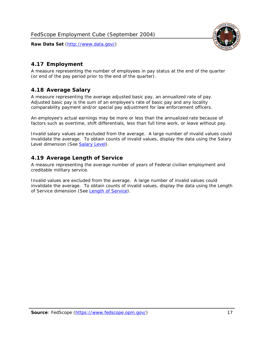

### <span id="page-17-0"></span>*4.17 Employment*

A measure representing the number of employees in pay status at the end of the quarter (or end of the pay period prior to the end of the quarter).

#### <span id="page-17-1"></span>*4.18 Average Salary*

A measure representing the average adjusted basic pay, an annualized rate of pay. Adjusted basic pay is the sum of an employee's rate of basic pay and any locality comparability payment and/or special pay adjustment for law enforcement officers.

An employee's actual earnings may be more or less than the annualized rate because of factors such as overtime, shift differentials, less than full time work, or leave without pay.

Invalid salary values are excluded from the average. A large number of invalid values could invalidate the average. To obtain counts of invalid values, display the data using the Salary Level dimension (See [Salary Level\)](#page-16-1).

#### <span id="page-17-2"></span>*4.19 Average Length of Service*

A measure representing the average number of years of Federal civilian employment and creditable military service.

Invalid values are excluded from the average. A large number of invalid values could invalidate the average. To obtain counts of invalid values, display the data using the Length of Service dimension (See [Length of Service](#page-15-6)).